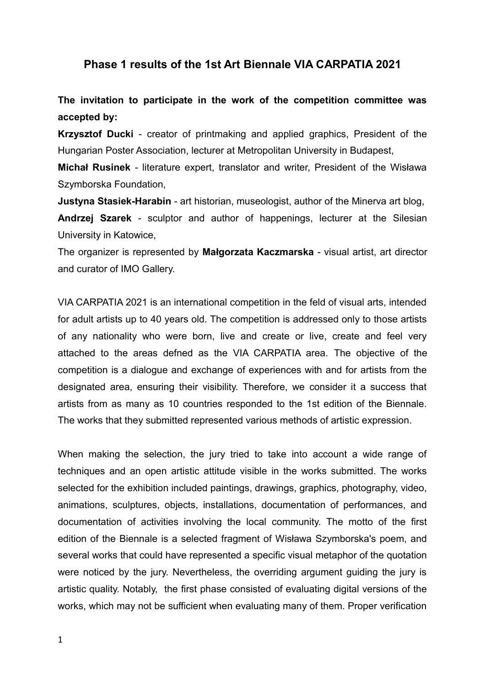## **Phase 1 results of the 1st Art Biennale VIA CARPATIA 2021**

**The invitation to participate in the work of the competition committee was accepted by:**

**Krzysztof Ducki** - creator of printmaking and applied graphics, President of the Hungarian Poster Association, lecturer at Metropolitan University in Budapest,

**Michał Rusinek** - literature expert, translator and writer, President of the Wisława Szymborska Foundation,

**Justyna Stasiek-Harabin** - art historian, museologist, author of the Minerva art blog,

**Andrzej Szarek** - sculptor and author of happenings, lecturer at the Silesian University in Katowice,

The organizer is represented by **Małgorzata Kaczmarska** - visual artist, art director and curator of IMO Gallery.

VIA CARPATIA 2021 is an international competition in the feld of visual arts, intended for adult artists up to 40 years old. The competition is addressed only to those artists of any nationality who were born, live and create or live, create and feel very attached to the areas defned as the VIA CARPATIA area. The objective of the competition is a dialogue and exchange of experiences with and for artists from the designated area, ensuring their visibility. Therefore, we consider it a success that artists from as many as 10 countries responded to the 1st edition of the Biennale. The works that they submitted represented various methods of artistic expression.

When making the selection, the jury tried to take into account a wide range of techniques and an open artistic attitude visible in the works submitted. The works selected for the exhibition included paintings, drawings, graphics, photography, video, animations, sculptures, objects, installations, documentation of performances, and documentation of activities involving the local community. The motto of the first edition of the Biennale is a selected fragment of Wisława Szymborska's poem, and several works that could have represented a specific visual metaphor of the quotation were noticed by the jury. Nevertheless, the overriding argument guiding the jury is artistic quality. Notably, the first phase consisted of evaluating digital versions of the works, which may not be sufficient when evaluating many of them. Proper verification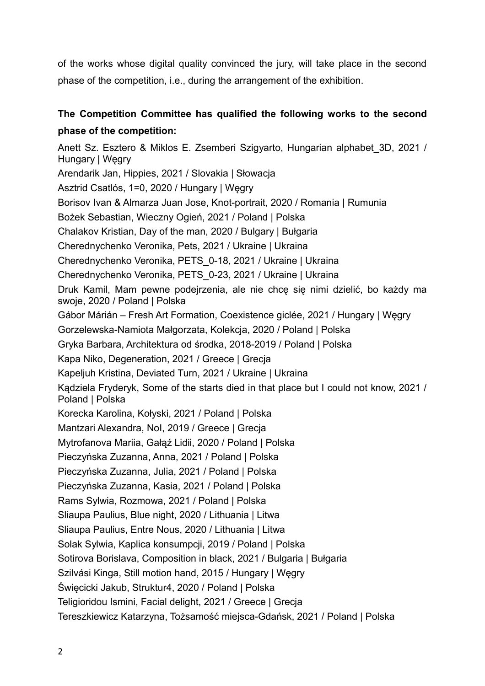of the works whose digital quality convinced the jury, will take place in the second phase of the competition, i.e., during the arrangement of the exhibition.

## **The Competition Committee has qualified the following works to the second phase of the competition:**

Anett Sz. Esztero & Miklos E. Zsemberi Szigyarto, Hungarian alphabet\_3D, 2021 / Hungary | Węgry Arendarik Jan, Hippies, 2021 / Slovakia | Słowacja Asztrid Csatlós, 1=0, 2020 / Hungary | Węgry Borisov Ivan & Almarza Juan Jose, Knot-portrait, 2020 / Romania | Rumunia Bożek Sebastian, Wieczny Ogień, 2021 / Poland | Polska Chalakov Kristian, Day of the man, 2020 / Bulgary | Bułgaria Cherednychenko Veronika, Pets, 2021 / Ukraine | Ukraina Cherednychenko Veronika, PETS\_0-18, 2021 / Ukraine | Ukraina Cherednychenko Veronika, PETS\_0-23, 2021 / Ukraine | Ukraina Druk Kamil, Mam pewne podejrzenia, ale nie chcę się nimi dzielić, bo każdy ma swoje, 2020 / Poland | Polska Gábor Márián – Fresh Art Formation, Coexistence giclée, 2021 / Hungary | Węgry Gorzelewska-Namiota Małgorzata, Kolekcja, 2020 / Poland | Polska Gryka Barbara, Architektura od środka, 2018-2019 / Poland | Polska Kapa Niko, Degeneration, 2021 / Greece | Grecja Kapeljuh Kristina, Deviated Turn, 2021 / Ukraine | Ukraina Kądziela Fryderyk, Some of the starts died in that place but I could not know, 2021 / Poland | Polska Korecka Karolina, Kołyski, 2021 / Poland | Polska Mantzari Alexandra, NoI, 2019 / Greece | Grecja Mytrofanova Mariia, Gałąź Lidii, 2020 / Poland | Polska Pieczyńska Zuzanna, Anna, 2021 / Poland | Polska Pieczyńska Zuzanna, Julia, 2021 / Poland | Polska Pieczyńska Zuzanna, Kasia, 2021 / Poland | Polska Rams Sylwia, Rozmowa, 2021 / Poland | Polska Sliaupa Paulius, Blue night, 2020 / Lithuania | Litwa Sliaupa Paulius, Entre Nous, 2020 / Lithuania | Litwa Solak Sylwia, Kaplica konsumpcji, 2019 / Poland | Polska Sotirova Borislava, Composition in black, 2021 / Bulgaria | Bułgaria Szilvási Kinga, Still motion hand, 2015 / Hungary | Węgry Święcicki Jakub, Struktur4, 2020 / Poland | Polska Teligioridou Ismini, Facial delight, 2021 / Greece | Grecja Tereszkiewicz Katarzyna, Tożsamość miejsca-Gdańsk, 2021 / Poland | Polska